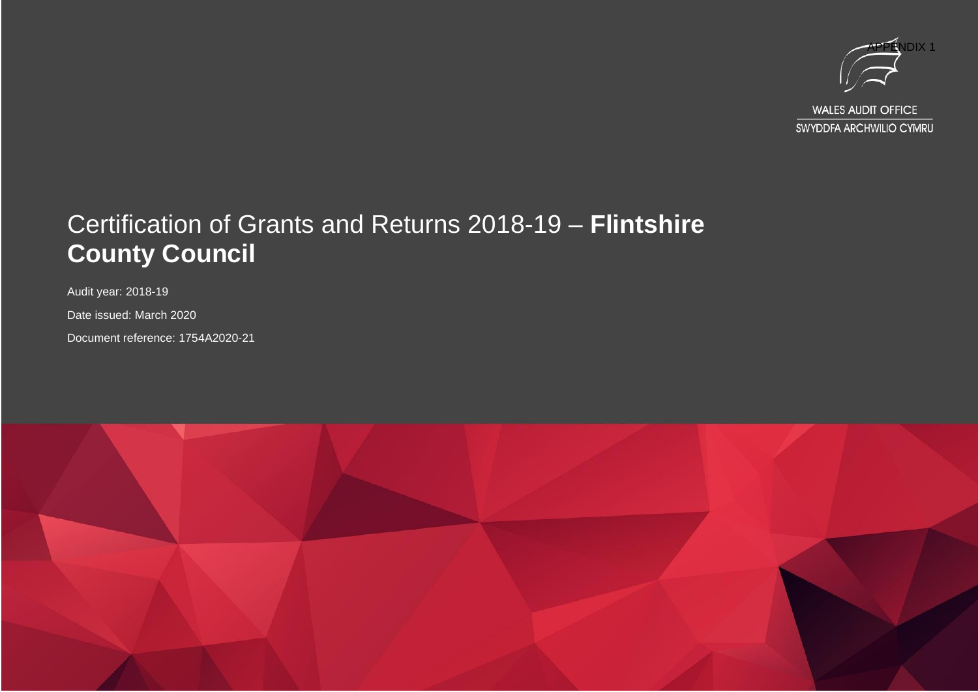

#### Certification of Grants and Returns 2018-19 – **Flintshire County Council**

Audit year: 2018-19

Date issued: March 2020

Document reference: 1754A2020-21

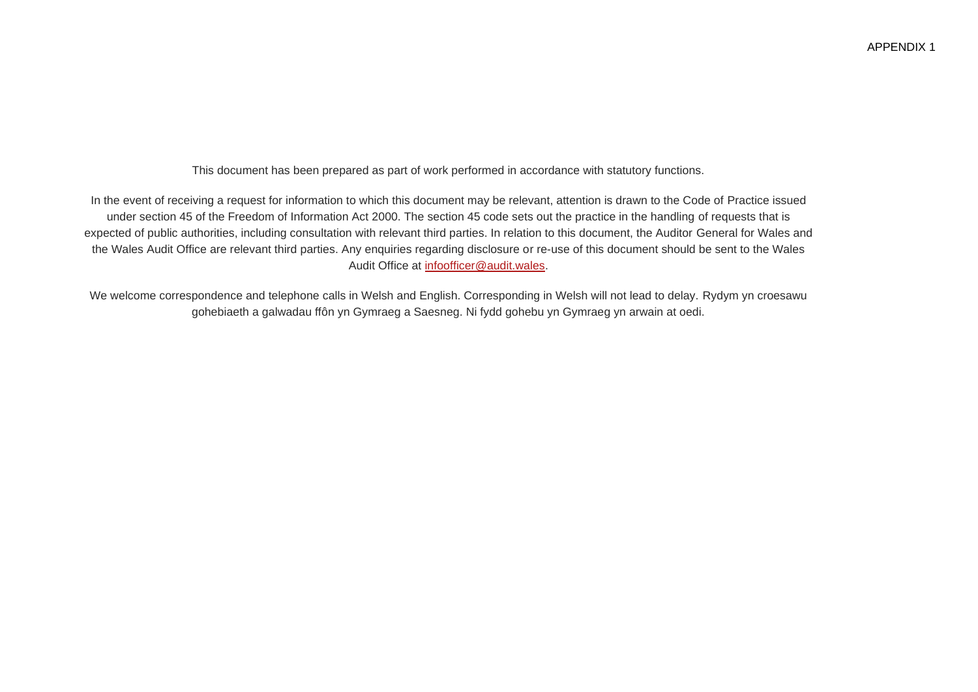This document has been prepared as part of work performed in accordance with statutory functions.

In the event of receiving a request for information to which this document may be relevant, attention is drawn to the Code of Practice issued under section 45 of the Freedom of Information Act 2000. The section 45 code sets out the practice in the handling of requests that is expected of public authorities, including consultation with relevant third parties. In relation to this document, the Auditor General for Wales and the Wales Audit Office are relevant third parties. Any enquiries regarding disclosure or re-use of this document should be sent to the Wales Audit Office at [infoofficer@audit.wales.](mailto:infoofficer@audit.wales)

We welcome correspondence and telephone calls in Welsh and English. Corresponding in Welsh will not lead to delay. Rydym yn croesawu gohebiaeth a galwadau ffôn yn Gymraeg a Saesneg. Ni fydd gohebu yn Gymraeg yn arwain at oedi.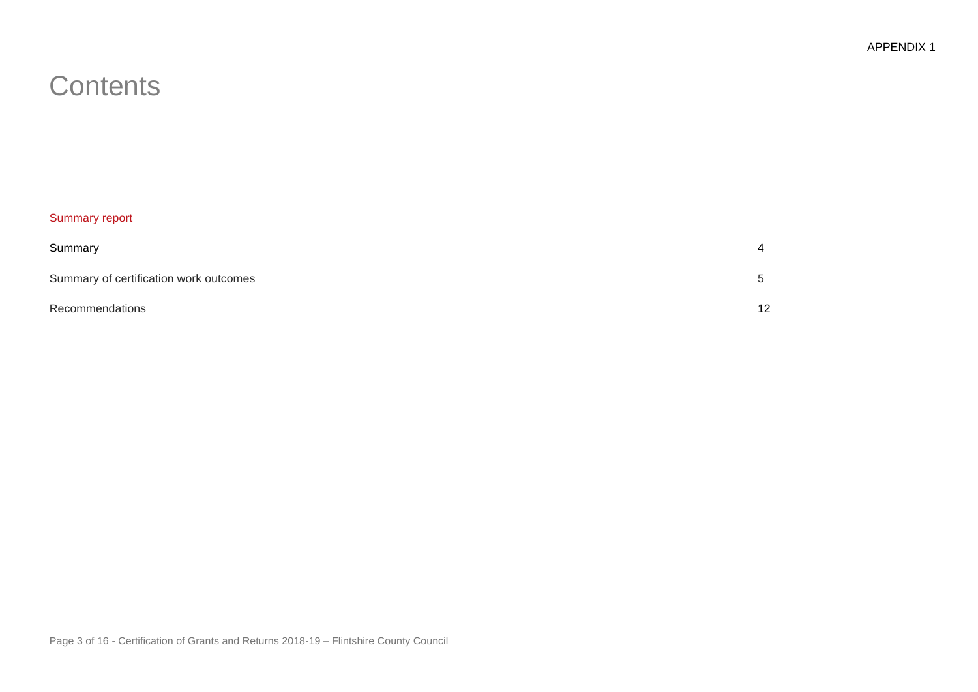### **Contents**

#### Summary report

| Summary                                | 4                    |
|----------------------------------------|----------------------|
| Summary of certification work outcomes | $\ddot{\phantom{1}}$ |
| Recommendations                        | 12                   |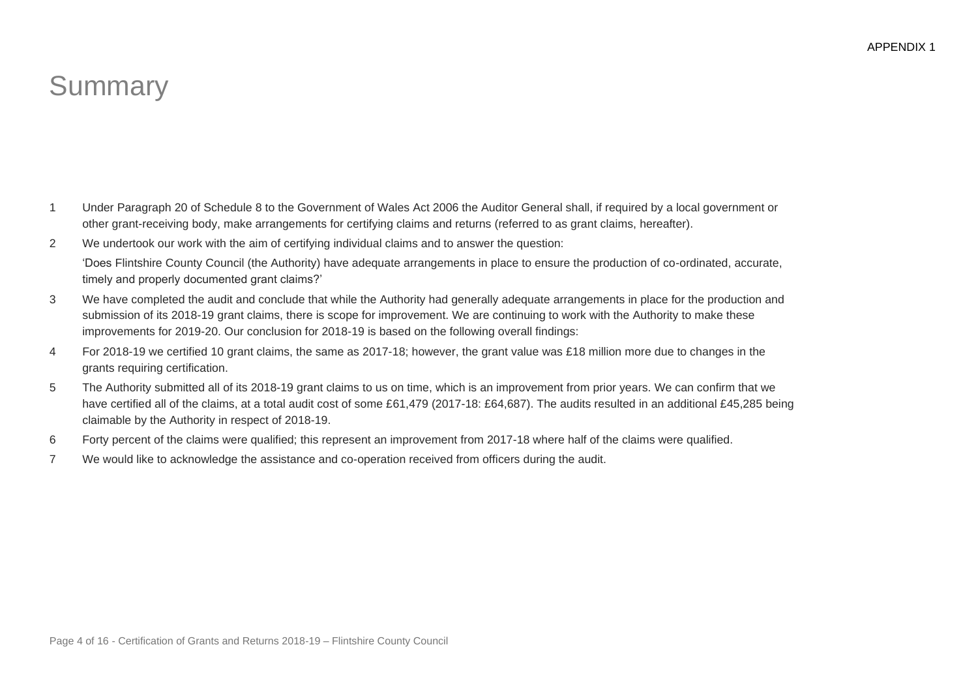## **Summary**

- 1 Under Paragraph 20 of Schedule 8 to the Government of Wales Act 2006 the Auditor General shall, if required by a local government or other grant-receiving body, make arrangements for certifying claims and returns (referred to as grant claims, hereafter).
- 2 We undertook our work with the aim of certifying individual claims and to answer the question:

'Does Flintshire County Council (the Authority) have adequate arrangements in place to ensure the production of co-ordinated, accurate, timely and properly documented grant claims?'

- 3 We have completed the audit and conclude that while the Authority had generally adequate arrangements in place for the production and submission of its 2018-19 grant claims, there is scope for improvement. We are continuing to work with the Authority to make these improvements for 2019-20. Our conclusion for 2018-19 is based on the following overall findings:
- 4 For 2018-19 we certified 10 grant claims, the same as 2017-18; however, the grant value was £18 million more due to changes in the grants requiring certification.
- 5 The Authority submitted all of its 2018-19 grant claims to us on time, which is an improvement from prior years. We can confirm that we have certified all of the claims, at a total audit cost of some £61,479 (2017-18: £64,687). The audits resulted in an additional £45,285 being claimable by the Authority in respect of 2018-19.
- 6 Forty percent of the claims were qualified; this represent an improvement from 2017-18 where half of the claims were qualified.
- 7 We would like to acknowledge the assistance and co-operation received from officers during the audit.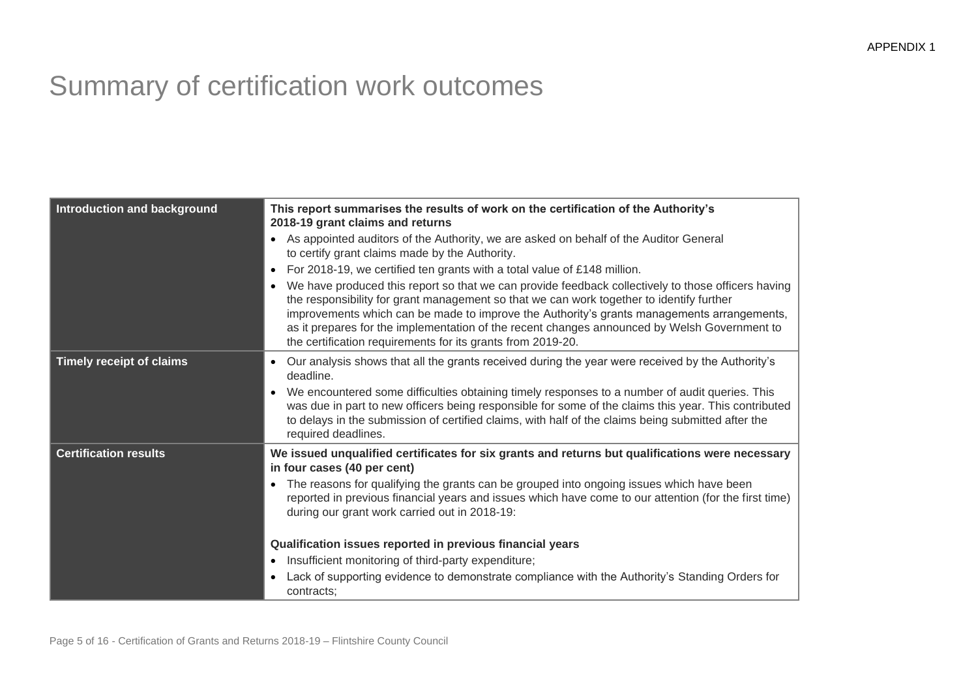# Summary of certification work outcomes

| Introduction and background     | This report summarises the results of work on the certification of the Authority's<br>2018-19 grant claims and returns                                                                                                                                                                                                                                                                                                                                      |  |  |  |  |
|---------------------------------|-------------------------------------------------------------------------------------------------------------------------------------------------------------------------------------------------------------------------------------------------------------------------------------------------------------------------------------------------------------------------------------------------------------------------------------------------------------|--|--|--|--|
|                                 | As appointed auditors of the Authority, we are asked on behalf of the Auditor General<br>to certify grant claims made by the Authority.                                                                                                                                                                                                                                                                                                                     |  |  |  |  |
|                                 | For 2018-19, we certified ten grants with a total value of £148 million.                                                                                                                                                                                                                                                                                                                                                                                    |  |  |  |  |
|                                 | We have produced this report so that we can provide feedback collectively to those officers having<br>the responsibility for grant management so that we can work together to identify further<br>improvements which can be made to improve the Authority's grants managements arrangements,<br>as it prepares for the implementation of the recent changes announced by Welsh Government to<br>the certification requirements for its grants from 2019-20. |  |  |  |  |
| <b>Timely receipt of claims</b> | Our analysis shows that all the grants received during the year were received by the Authority's<br>deadline.                                                                                                                                                                                                                                                                                                                                               |  |  |  |  |
|                                 | We encountered some difficulties obtaining timely responses to a number of audit queries. This<br>was due in part to new officers being responsible for some of the claims this year. This contributed<br>to delays in the submission of certified claims, with half of the claims being submitted after the<br>required deadlines.                                                                                                                         |  |  |  |  |
| <b>Certification results</b>    | We issued unqualified certificates for six grants and returns but qualifications were necessary<br>in four cases (40 per cent)                                                                                                                                                                                                                                                                                                                              |  |  |  |  |
|                                 | The reasons for qualifying the grants can be grouped into ongoing issues which have been<br>reported in previous financial years and issues which have come to our attention (for the first time)<br>during our grant work carried out in 2018-19:                                                                                                                                                                                                          |  |  |  |  |
|                                 | Qualification issues reported in previous financial years                                                                                                                                                                                                                                                                                                                                                                                                   |  |  |  |  |
|                                 | Insufficient monitoring of third-party expenditure;                                                                                                                                                                                                                                                                                                                                                                                                         |  |  |  |  |
|                                 | Lack of supporting evidence to demonstrate compliance with the Authority's Standing Orders for<br>contracts;                                                                                                                                                                                                                                                                                                                                                |  |  |  |  |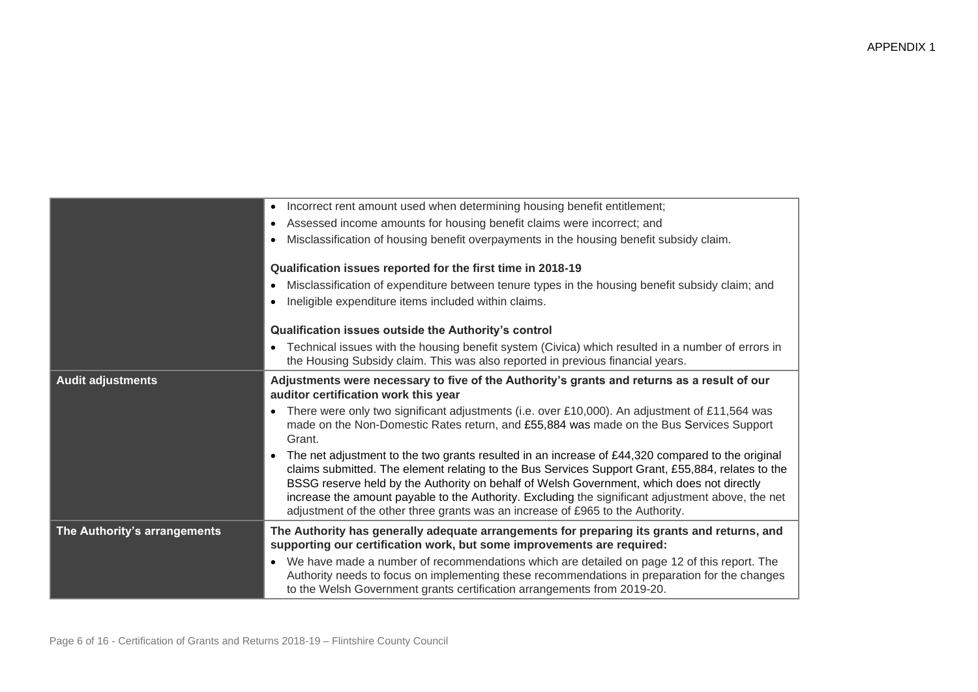|                              | Incorrect rent amount used when determining housing benefit entitlement;                                                                                                                                                                                                                                                                                                                                                                                                                                 |
|------------------------------|----------------------------------------------------------------------------------------------------------------------------------------------------------------------------------------------------------------------------------------------------------------------------------------------------------------------------------------------------------------------------------------------------------------------------------------------------------------------------------------------------------|
|                              | Assessed income amounts for housing benefit claims were incorrect; and                                                                                                                                                                                                                                                                                                                                                                                                                                   |
|                              | Misclassification of housing benefit overpayments in the housing benefit subsidy claim.<br>$\bullet$                                                                                                                                                                                                                                                                                                                                                                                                     |
|                              | Qualification issues reported for the first time in 2018-19                                                                                                                                                                                                                                                                                                                                                                                                                                              |
|                              | Misclassification of expenditure between tenure types in the housing benefit subsidy claim; and<br>$\bullet$                                                                                                                                                                                                                                                                                                                                                                                             |
|                              | Ineligible expenditure items included within claims.                                                                                                                                                                                                                                                                                                                                                                                                                                                     |
|                              | Qualification issues outside the Authority's control                                                                                                                                                                                                                                                                                                                                                                                                                                                     |
|                              | • Technical issues with the housing benefit system (Civica) which resulted in a number of errors in<br>the Housing Subsidy claim. This was also reported in previous financial years.                                                                                                                                                                                                                                                                                                                    |
| <b>Audit adjustments</b>     | Adjustments were necessary to five of the Authority's grants and returns as a result of our<br>auditor certification work this year                                                                                                                                                                                                                                                                                                                                                                      |
|                              | • There were only two significant adjustments (i.e. over £10,000). An adjustment of £11,564 was<br>made on the Non-Domestic Rates return, and £55,884 was made on the Bus Services Support<br>Grant.                                                                                                                                                                                                                                                                                                     |
|                              | The net adjustment to the two grants resulted in an increase of $£44,320$ compared to the original<br>$\bullet$<br>claims submitted. The element relating to the Bus Services Support Grant, £55,884, relates to the<br>BSSG reserve held by the Authority on behalf of Welsh Government, which does not directly<br>increase the amount payable to the Authority. Excluding the significant adjustment above, the net<br>adjustment of the other three grants was an increase of £965 to the Authority. |
| The Authority's arrangements | The Authority has generally adequate arrangements for preparing its grants and returns, and<br>supporting our certification work, but some improvements are required:                                                                                                                                                                                                                                                                                                                                    |
|                              | • We have made a number of recommendations which are detailed on page 12 of this report. The<br>Authority needs to focus on implementing these recommendations in preparation for the changes<br>to the Welsh Government grants certification arrangements from 2019-20.                                                                                                                                                                                                                                 |
|                              |                                                                                                                                                                                                                                                                                                                                                                                                                                                                                                          |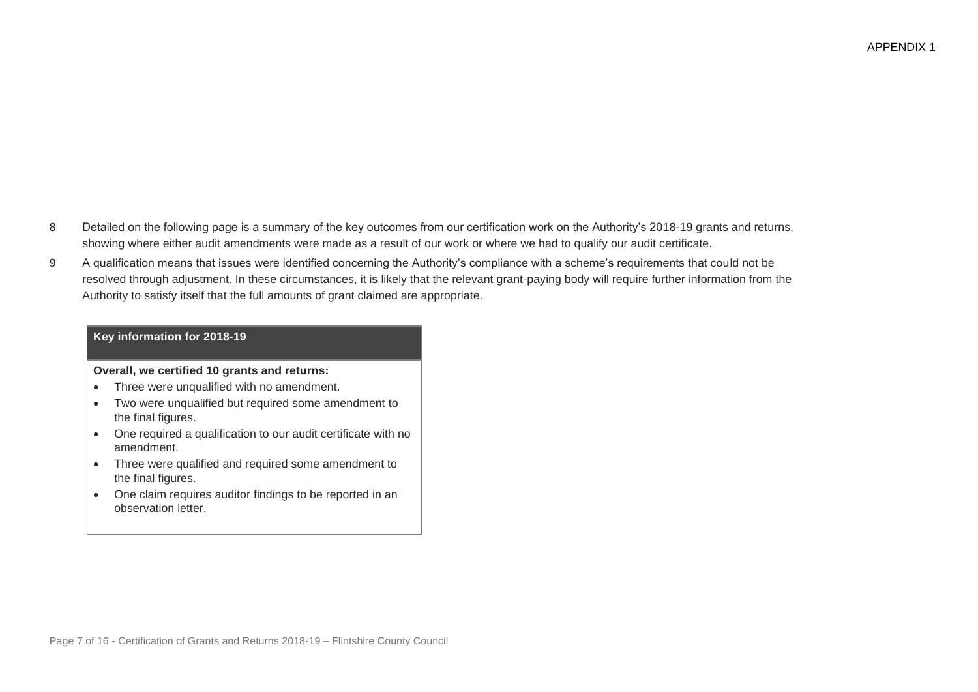- 8 Detailed on the following page is a summary of the key outcomes from our certification work on the Authority's 2018-19 grants and returns, showing where either audit amendments were made as a result of our work or where we had to qualify our audit certificate.
- 9 A qualification means that issues were identified concerning the Authority's compliance with a scheme's requirements that could not be resolved through adjustment. In these circumstances, it is likely that the relevant grant-paying body will require further information from the Authority to satisfy itself that the full amounts of grant claimed are appropriate.

#### **Key information for 2018-19**

**Overall, we certified 10 grants and returns:**

- Three were unqualified with no amendment.
- Two were unqualified but required some amendment to the final figures.
- One required a qualification to our audit certificate with no amendment.
- Three were qualified and required some amendment to the final figures.
- One claim requires auditor findings to be reported in an observation letter.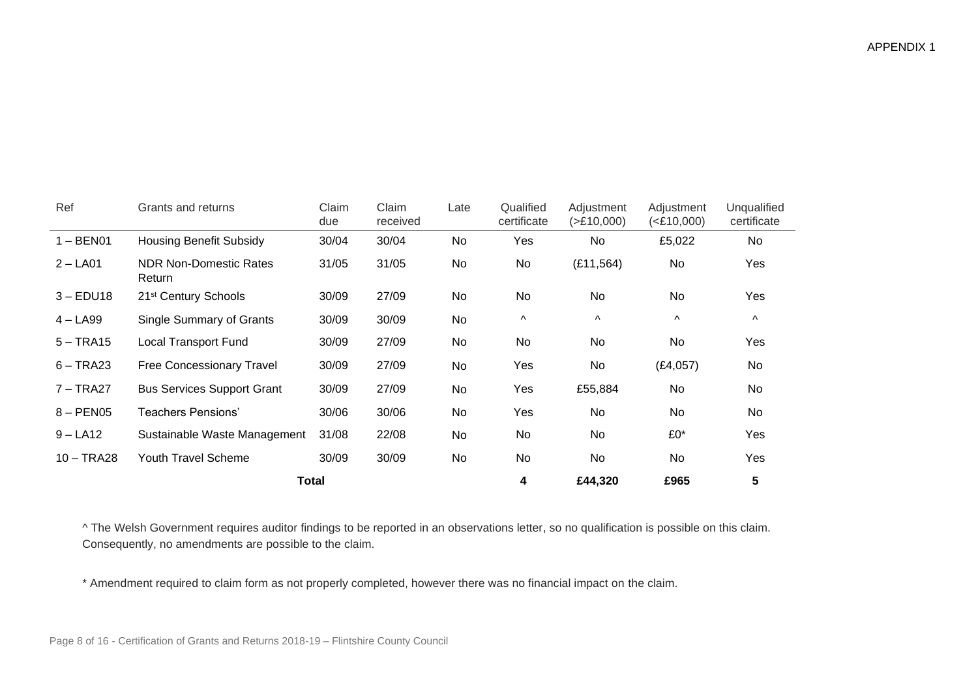| Ref         | Grants and returns                      | Claim<br>due | Claim<br>received | Late | Qualified<br>certificate | Adjustment<br>( > £10,000) | Adjustment<br>( <b>E</b> 10,000) | Unqualified<br>certificate |
|-------------|-----------------------------------------|--------------|-------------------|------|--------------------------|----------------------------|----------------------------------|----------------------------|
| $1 - BEN01$ | <b>Housing Benefit Subsidy</b>          | 30/04        | 30/04             | No   | Yes                      | No                         | £5,022                           | No                         |
| $2 - LA01$  | <b>NDR Non-Domestic Rates</b><br>Return | 31/05        | 31/05             | No   | No                       | (E11, 564)                 | No                               | Yes                        |
| $3 - EDU18$ | 21 <sup>st</sup> Century Schools        | 30/09        | 27/09             | No   | No                       | No                         | No                               | Yes                        |
| $4 - LA99$  | <b>Single Summary of Grants</b>         | 30/09        | 30/09             | No   | Λ                        | $\boldsymbol{\wedge}$      | $\boldsymbol{\wedge}$            | $\lambda$                  |
| $5 - TRA15$ | <b>Local Transport Fund</b>             | 30/09        | 27/09             | No   | No                       | No                         | No                               | Yes                        |
| $6 - TRA23$ | <b>Free Concessionary Travel</b>        | 30/09        | 27/09             | No   | Yes                      | No                         | (E4,057)                         | No                         |
| 7 – TRA27   | <b>Bus Services Support Grant</b>       | 30/09        | 27/09             | No   | Yes                      | £55,884                    | No                               | No                         |

**Total 4 £44,320 £965 5**

^ The Welsh Government requires auditor findings to be reported in an observations letter, so no qualification is possible on this claim. Consequently, no amendments are possible to the claim.

8 – PEN05 Teachers Pensions' 30/06 30/06 No Yes No No No No 9 – LA12 Sustainable Waste Management 31/08 22/08 No No No No £0\* Yes 10 – TRA28 Youth Travel Scheme 30/09 30/09 No No No No Yes

\* Amendment required to claim form as not properly completed, however there was no financial impact on the claim.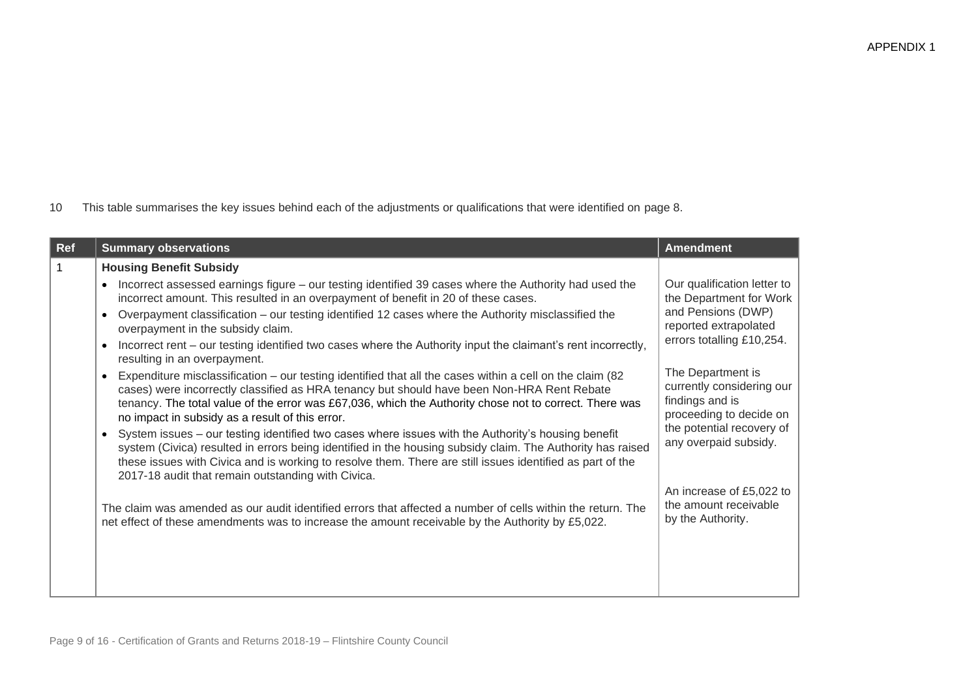|  | 10 This table summarises the key issues behind each of the adjustments or qualifications that were identified on page 8. |  |  |  |  |
|--|--------------------------------------------------------------------------------------------------------------------------|--|--|--|--|
|--|--------------------------------------------------------------------------------------------------------------------------|--|--|--|--|

| Ref | <b>Summary observations</b>                                                                                                                                                                                                                                                                                                                                                                                                                                                                                                                                                                                                                                                                                                                                                                                                                                                                                                                                                                                                                                                                                                                                                                                                                                                                                                                                                                                                                                                                                                          | <b>Amendment</b>                                                                                                                                                                                                                                                                                                                                                   |
|-----|--------------------------------------------------------------------------------------------------------------------------------------------------------------------------------------------------------------------------------------------------------------------------------------------------------------------------------------------------------------------------------------------------------------------------------------------------------------------------------------------------------------------------------------------------------------------------------------------------------------------------------------------------------------------------------------------------------------------------------------------------------------------------------------------------------------------------------------------------------------------------------------------------------------------------------------------------------------------------------------------------------------------------------------------------------------------------------------------------------------------------------------------------------------------------------------------------------------------------------------------------------------------------------------------------------------------------------------------------------------------------------------------------------------------------------------------------------------------------------------------------------------------------------------|--------------------------------------------------------------------------------------------------------------------------------------------------------------------------------------------------------------------------------------------------------------------------------------------------------------------------------------------------------------------|
|     | <b>Housing Benefit Subsidy</b><br>Incorrect assessed earnings figure – our testing identified 39 cases where the Authority had used the<br>incorrect amount. This resulted in an overpayment of benefit in 20 of these cases.<br>Overpayment classification – our testing identified 12 cases where the Authority misclassified the<br>$\bullet$<br>overpayment in the subsidy claim.<br>Incorrect rent - our testing identified two cases where the Authority input the claimant's rent incorrectly,<br>$\bullet$<br>resulting in an overpayment.<br>Expenditure misclassification – our testing identified that all the cases within a cell on the claim (82)<br>cases) were incorrectly classified as HRA tenancy but should have been Non-HRA Rent Rebate<br>tenancy. The total value of the error was £67,036, which the Authority chose not to correct. There was<br>no impact in subsidy as a result of this error.<br>System issues – our testing identified two cases where issues with the Authority's housing benefit<br>system (Civica) resulted in errors being identified in the housing subsidy claim. The Authority has raised<br>these issues with Civica and is working to resolve them. There are still issues identified as part of the<br>2017-18 audit that remain outstanding with Civica.<br>The claim was amended as our audit identified errors that affected a number of cells within the return. The<br>net effect of these amendments was to increase the amount receivable by the Authority by £5,022. | Our qualification letter to<br>the Department for Work<br>and Pensions (DWP)<br>reported extrapolated<br>errors totalling £10,254.<br>The Department is<br>currently considering our<br>findings and is<br>proceeding to decide on<br>the potential recovery of<br>any overpaid subsidy.<br>An increase of £5,022 to<br>the amount receivable<br>by the Authority. |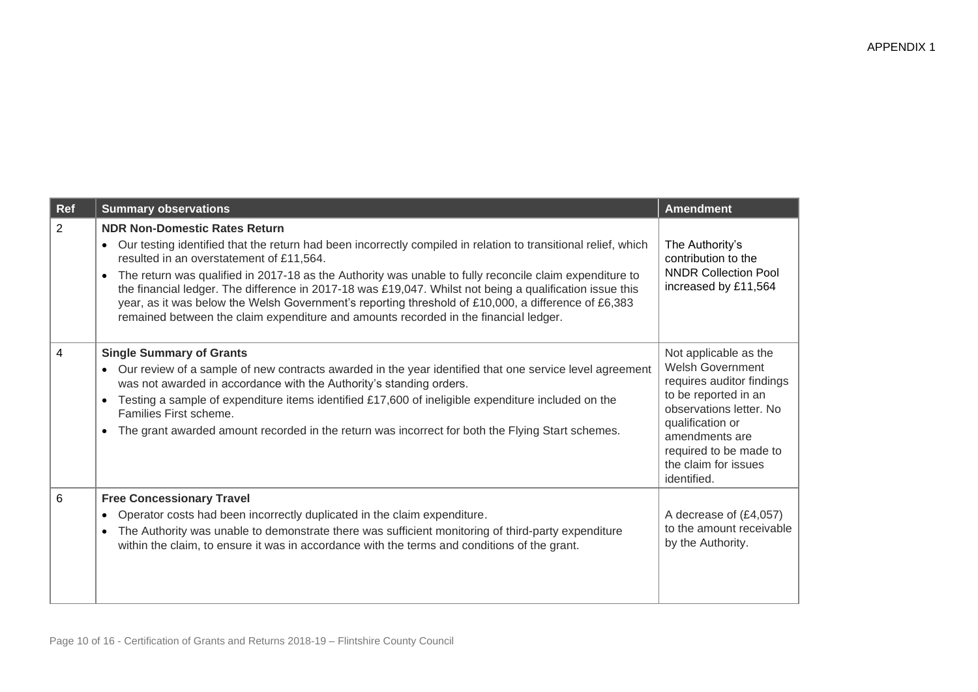| Ref            | <b>Summary observations</b>                                                                                                                                                                                                                                                                                                                                                                                                                                                                                                                                                                                              | <b>Amendment</b>                                                                                                                                                                                                                        |
|----------------|--------------------------------------------------------------------------------------------------------------------------------------------------------------------------------------------------------------------------------------------------------------------------------------------------------------------------------------------------------------------------------------------------------------------------------------------------------------------------------------------------------------------------------------------------------------------------------------------------------------------------|-----------------------------------------------------------------------------------------------------------------------------------------------------------------------------------------------------------------------------------------|
| 2              | <b>NDR Non-Domestic Rates Return</b><br>Our testing identified that the return had been incorrectly compiled in relation to transitional relief, which<br>resulted in an overstatement of £11,564.<br>The return was qualified in 2017-18 as the Authority was unable to fully reconcile claim expenditure to<br>the financial ledger. The difference in 2017-18 was £19,047. Whilst not being a qualification issue this<br>year, as it was below the Welsh Government's reporting threshold of £10,000, a difference of £6,383<br>remained between the claim expenditure and amounts recorded in the financial ledger. | The Authority's<br>contribution to the<br><b>NNDR Collection Pool</b><br>increased by £11,564                                                                                                                                           |
| $\overline{4}$ | <b>Single Summary of Grants</b><br>Our review of a sample of new contracts awarded in the year identified that one service level agreement<br>was not awarded in accordance with the Authority's standing orders.<br>Testing a sample of expenditure items identified £17,600 of ineligible expenditure included on the<br>Families First scheme.<br>The grant awarded amount recorded in the return was incorrect for both the Flying Start schemes.                                                                                                                                                                    | Not applicable as the<br><b>Welsh Government</b><br>requires auditor findings<br>to be reported in an<br>observations letter. No<br>qualification or<br>amendments are<br>required to be made to<br>the claim for issues<br>identified. |
| 6              | <b>Free Concessionary Travel</b><br>Operator costs had been incorrectly duplicated in the claim expenditure.<br>The Authority was unable to demonstrate there was sufficient monitoring of third-party expenditure<br>within the claim, to ensure it was in accordance with the terms and conditions of the grant.                                                                                                                                                                                                                                                                                                       | A decrease of (£4,057)<br>to the amount receivable<br>by the Authority.                                                                                                                                                                 |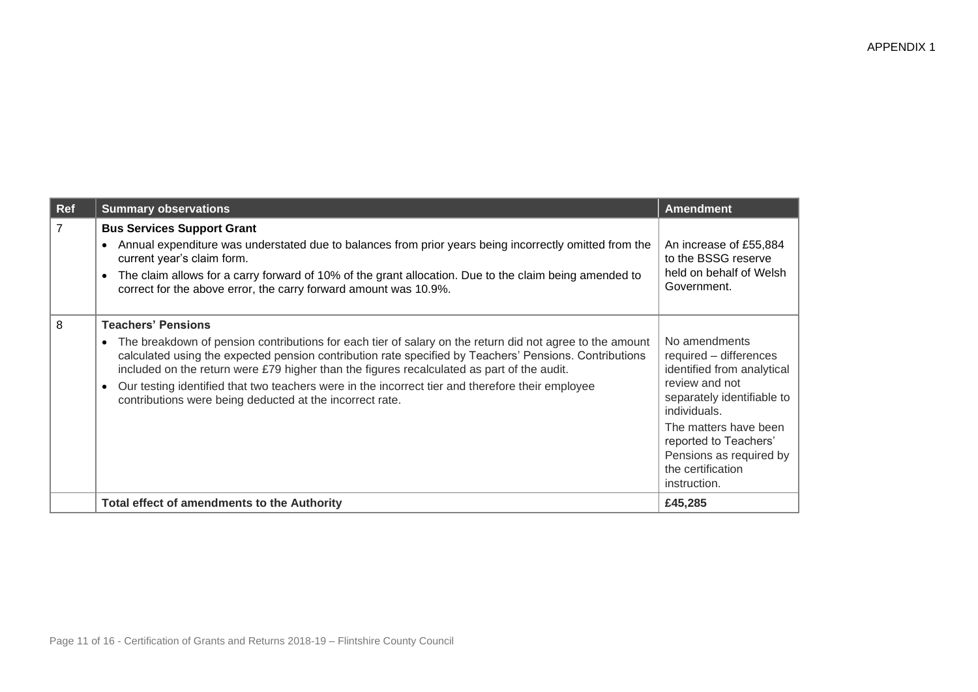| Ref            | <b>Summary observations</b>                                                                                                                                                                                                                                                                                                                                                                                                                                                                                                | <b>Amendment</b>                                                                                                                                                                                                                                        |
|----------------|----------------------------------------------------------------------------------------------------------------------------------------------------------------------------------------------------------------------------------------------------------------------------------------------------------------------------------------------------------------------------------------------------------------------------------------------------------------------------------------------------------------------------|---------------------------------------------------------------------------------------------------------------------------------------------------------------------------------------------------------------------------------------------------------|
| $\overline{7}$ | <b>Bus Services Support Grant</b><br>Annual expenditure was understated due to balances from prior years being incorrectly omitted from the<br>current year's claim form.<br>The claim allows for a carry forward of 10% of the grant allocation. Due to the claim being amended to<br>$\bullet$<br>correct for the above error, the carry forward amount was 10.9%.                                                                                                                                                       | An increase of £55,884<br>to the BSSG reserve<br>held on behalf of Welsh<br>Government.                                                                                                                                                                 |
| 8              | <b>Teachers' Pensions</b><br>The breakdown of pension contributions for each tier of salary on the return did not agree to the amount<br>$\bullet$<br>calculated using the expected pension contribution rate specified by Teachers' Pensions. Contributions<br>included on the return were £79 higher than the figures recalculated as part of the audit.<br>Our testing identified that two teachers were in the incorrect tier and therefore their employee<br>contributions were being deducted at the incorrect rate. | No amendments<br>required - differences<br>identified from analytical<br>review and not<br>separately identifiable to<br>individuals.<br>The matters have been<br>reported to Teachers'<br>Pensions as required by<br>the certification<br>instruction. |
|                | <b>Total effect of amendments to the Authority</b>                                                                                                                                                                                                                                                                                                                                                                                                                                                                         | £45,285                                                                                                                                                                                                                                                 |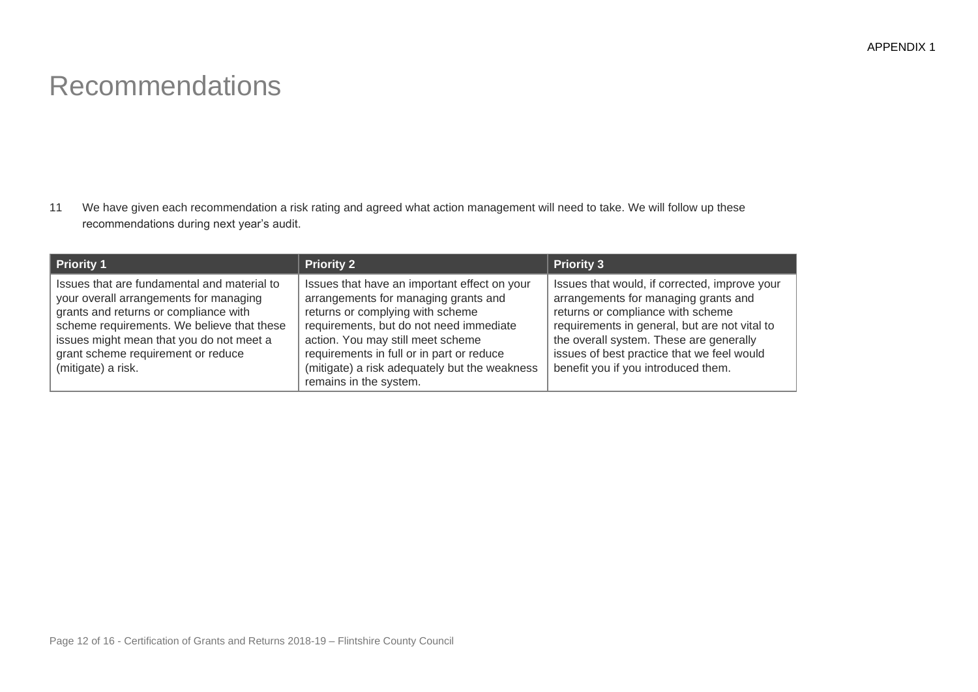## Recommendations

11 We have given each recommendation a risk rating and agreed what action management will need to take. We will follow up these recommendations during next year's audit.

| Priority 1                                                                                                                                                                                                                                                                           | <b>Priority 2</b>                                                                                                                                                                                                                                                                                                                | <b>Priority 3</b>                                                                                                                                                                                                                                                                                           |
|--------------------------------------------------------------------------------------------------------------------------------------------------------------------------------------------------------------------------------------------------------------------------------------|----------------------------------------------------------------------------------------------------------------------------------------------------------------------------------------------------------------------------------------------------------------------------------------------------------------------------------|-------------------------------------------------------------------------------------------------------------------------------------------------------------------------------------------------------------------------------------------------------------------------------------------------------------|
| Issues that are fundamental and material to<br>your overall arrangements for managing<br>grants and returns or compliance with<br>scheme requirements. We believe that these<br>issues might mean that you do not meet a<br>grant scheme requirement or reduce<br>(mitigate) a risk. | Issues that have an important effect on your<br>arrangements for managing grants and<br>returns or complying with scheme<br>requirements, but do not need immediate<br>action. You may still meet scheme<br>requirements in full or in part or reduce<br>(mitigate) a risk adequately but the weakness<br>remains in the system. | Issues that would, if corrected, improve your<br>arrangements for managing grants and<br>returns or compliance with scheme<br>requirements in general, but are not vital to<br>the overall system. These are generally<br>issues of best practice that we feel would<br>benefit you if you introduced them. |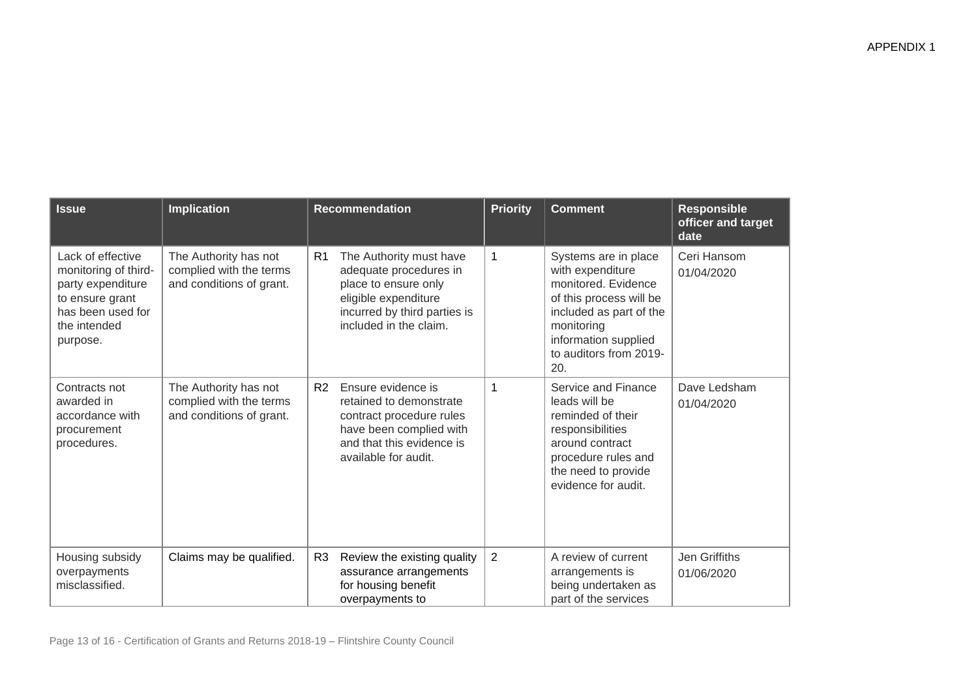| <b>Issue</b>                                                                                                                       | <b>Implication</b>                                                           | <b>Recommendation</b>                                                                                                                                                         | <b>Priority</b> | <b>Comment</b>                                                                                                                                                                               | <b>Responsible</b><br>officer and target<br>date |
|------------------------------------------------------------------------------------------------------------------------------------|------------------------------------------------------------------------------|-------------------------------------------------------------------------------------------------------------------------------------------------------------------------------|-----------------|----------------------------------------------------------------------------------------------------------------------------------------------------------------------------------------------|--------------------------------------------------|
| Lack of effective<br>monitoring of third-<br>party expenditure<br>to ensure grant<br>has been used for<br>the intended<br>purpose. | The Authority has not<br>complied with the terms<br>and conditions of grant. | R <sub>1</sub><br>The Authority must have<br>adequate procedures in<br>place to ensure only<br>eligible expenditure<br>incurred by third parties is<br>included in the claim. | $\mathbf 1$     | Systems are in place<br>with expenditure<br>monitored. Evidence<br>of this process will be<br>included as part of the<br>monitoring<br>information supplied<br>to auditors from 2019-<br>20. | Ceri Hansom<br>01/04/2020                        |
| Contracts not<br>awarded in<br>accordance with<br>procurement<br>procedures.                                                       | The Authority has not<br>complied with the terms<br>and conditions of grant. | Ensure evidence is<br>R <sub>2</sub><br>retained to demonstrate<br>contract procedure rules<br>have been complied with<br>and that this evidence is<br>available for audit.   | 1               | Service and Finance<br>leads will be<br>reminded of their<br>responsibilities<br>around contract<br>procedure rules and<br>the need to provide<br>evidence for audit.                        | Dave Ledsham<br>01/04/2020                       |
| Housing subsidy<br>overpayments<br>misclassified.                                                                                  | Claims may be qualified.                                                     | Review the existing quality<br>R <sub>3</sub><br>assurance arrangements<br>for housing benefit<br>overpayments to                                                             | $\overline{2}$  | A review of current<br>arrangements is<br>being undertaken as<br>part of the services                                                                                                        | Jen Griffiths<br>01/06/2020                      |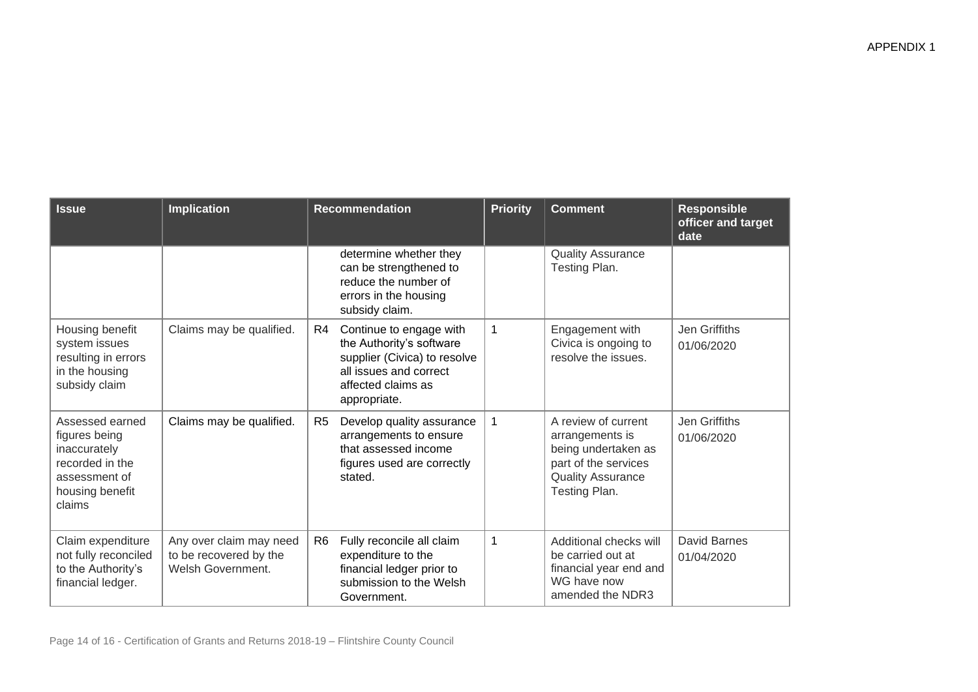| <b>Issue</b>                                                                                                      | <b>Implication</b>                                                     | <b>Recommendation</b>                                                                                                                                     | <b>Priority</b> | <b>Comment</b>                                                                                                                     | <b>Responsible</b><br>officer and target<br>date |
|-------------------------------------------------------------------------------------------------------------------|------------------------------------------------------------------------|-----------------------------------------------------------------------------------------------------------------------------------------------------------|-----------------|------------------------------------------------------------------------------------------------------------------------------------|--------------------------------------------------|
|                                                                                                                   |                                                                        | determine whether they<br>can be strengthened to<br>reduce the number of<br>errors in the housing<br>subsidy claim.                                       |                 | <b>Quality Assurance</b><br>Testing Plan.                                                                                          |                                                  |
| Housing benefit<br>system issues<br>resulting in errors<br>in the housing<br>subsidy claim                        | Claims may be qualified.                                               | Continue to engage with<br>R4<br>the Authority's software<br>supplier (Civica) to resolve<br>all issues and correct<br>affected claims as<br>appropriate. | 1               | Engagement with<br>Civica is ongoing to<br>resolve the issues.                                                                     | Jen Griffiths<br>01/06/2020                      |
| Assessed earned<br>figures being<br>inaccurately<br>recorded in the<br>assessment of<br>housing benefit<br>claims | Claims may be qualified.                                               | Develop quality assurance<br>R5<br>arrangements to ensure<br>that assessed income<br>figures used are correctly<br>stated.                                | $\mathbf 1$     | A review of current<br>arrangements is<br>being undertaken as<br>part of the services<br><b>Quality Assurance</b><br>Testing Plan. | Jen Griffiths<br>01/06/2020                      |
| Claim expenditure<br>not fully reconciled<br>to the Authority's<br>financial ledger.                              | Any over claim may need<br>to be recovered by the<br>Welsh Government. | R <sub>6</sub><br>Fully reconcile all claim<br>expenditure to the<br>financial ledger prior to<br>submission to the Welsh<br>Government.                  | $\mathbf{1}$    | Additional checks will<br>be carried out at<br>financial year end and<br>WG have now<br>amended the NDR3                           | David Barnes<br>01/04/2020                       |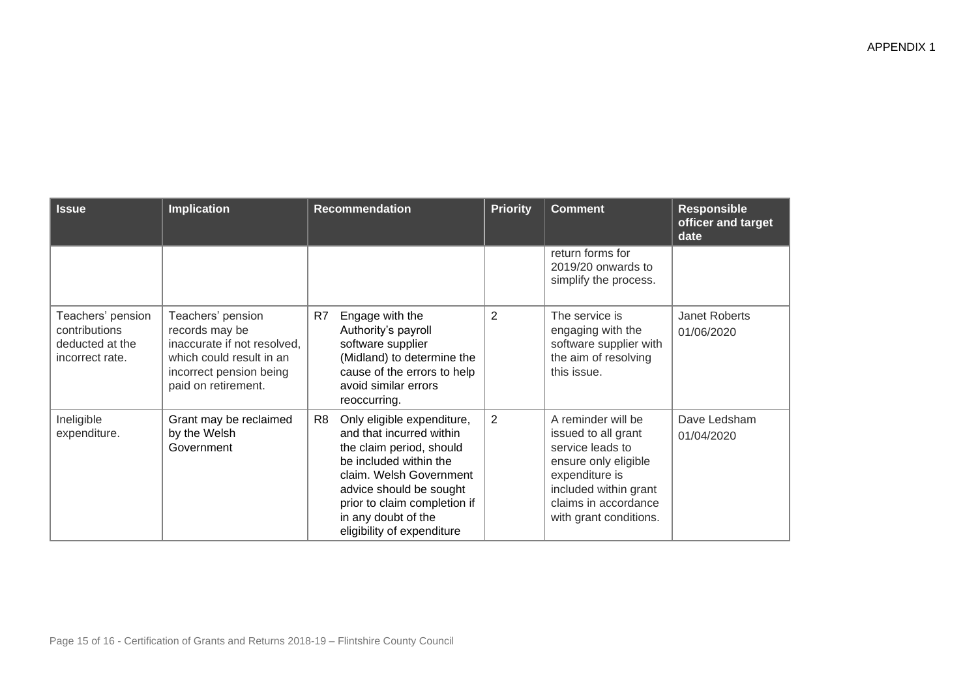| <b>Issue</b>                                                             | <b>Implication</b>                                                                                                                               | <b>Recommendation</b>                                                                                                                                                                                                                                         | <b>Priority</b> | <b>Comment</b>                                                                                                                                                                     | <b>Responsible</b><br>officer and target<br>date |
|--------------------------------------------------------------------------|--------------------------------------------------------------------------------------------------------------------------------------------------|---------------------------------------------------------------------------------------------------------------------------------------------------------------------------------------------------------------------------------------------------------------|-----------------|------------------------------------------------------------------------------------------------------------------------------------------------------------------------------------|--------------------------------------------------|
|                                                                          |                                                                                                                                                  |                                                                                                                                                                                                                                                               |                 | return forms for<br>2019/20 onwards to<br>simplify the process.                                                                                                                    |                                                  |
| Teachers' pension<br>contributions<br>deducted at the<br>incorrect rate. | Teachers' pension<br>records may be<br>inaccurate if not resolved.<br>which could result in an<br>incorrect pension being<br>paid on retirement. | R7<br>Engage with the<br>Authority's payroll<br>software supplier<br>(Midland) to determine the<br>cause of the errors to help<br>avoid similar errors<br>reoccurring.                                                                                        | 2               | The service is<br>engaging with the<br>software supplier with<br>the aim of resolving<br>this issue.                                                                               | Janet Roberts<br>01/06/2020                      |
| Ineligible<br>expenditure.                                               | Grant may be reclaimed<br>by the Welsh<br>Government                                                                                             | Only eligible expenditure,<br>R8<br>and that incurred within<br>the claim period, should<br>be included within the<br>claim. Welsh Government<br>advice should be sought<br>prior to claim completion if<br>in any doubt of the<br>eligibility of expenditure | $\overline{2}$  | A reminder will be<br>issued to all grant<br>service leads to<br>ensure only eligible<br>expenditure is<br>included within grant<br>claims in accordance<br>with grant conditions. | Dave Ledsham<br>01/04/2020                       |